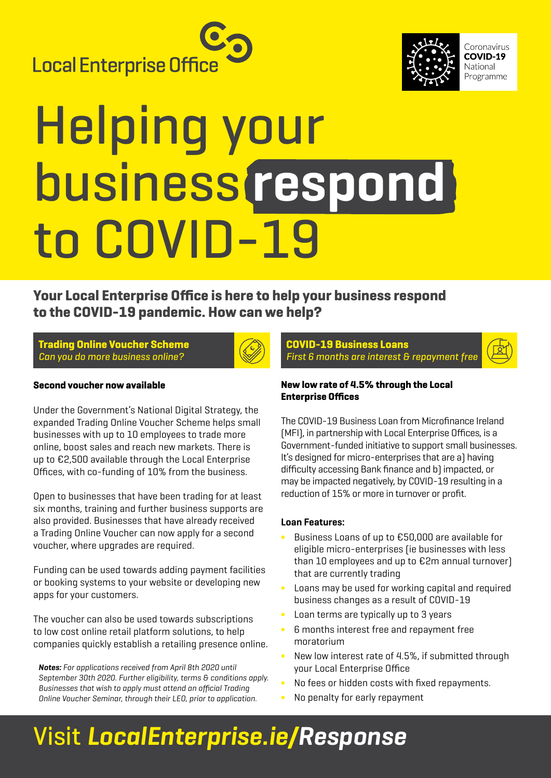



Coronavirus COVID-19 National Programme

# Helping your business **respond** to COVID-19

**Your Local Enterprise Office is here to help your business respond to the COVID-19 pandemic. How can we help?** 

**Trading Online Voucher Scheme**  Can you do more business online?



**COVID-19 Business Loans** First 6 months are interest & repayment free

### **Second voucher now available**

Under the Government's National Digital Strategy, the expanded Trading Online Voucher Scheme helps small businesses with up to 10 employees to trade more online, boost sales and reach new markets. There is up to €2,500 available through the Local Enterprise Offices, with co-funding of 10% from the business.

Open to businesses that have been trading for at least six months, training and further business supports are also provided. Businesses that have already received a Trading Online Voucher can now apply for a second voucher, where upgrades are required.

Funding can be used towards adding payment facilities or booking systems to your website or developing new apps for your customers.

The voucher can also be used towards subscriptions to low cost online retail platform solutions, to help companies quickly establish a retailing presence online.

**Notes:** *For applications received from April 8th 2020 until September 30th 2020. Further eligibility, terms & conditions apply. Businesses that wish to apply must attend an official Trading Online Voucher Seminar, through their LEO, prior to application.*

#### **New low rate of 4.5% through the Local Enterprise Offices**

The COVID-19 Business Loan from Microfinance Ireland (MFI), in partnership with Local Enterprise Offices, is a Government-funded initiative to support small businesses. It's designed for micro-enterprises that are a) having difficulty accessing Bank finance and b) impacted, or may be impacted negatively, by COVID-19 resulting in a reduction of 15% or more in turnover or profit.

### **Loan Features:**

- Business Loans of up to €50,000 are available for eligible micro-enterprises (ie businesses with less than 10 employees and up to €2m annual turnover) that are currently trading
- Loans may be used for working capital and required business changes as a result of COVID-19
- ∫ Loan terms are typically up to 3 years
- ∫ 6 months interest free and repayment free moratorium
- ∫ New low interest rate of 4.5%, if submitted through your Local Enterprise Office
- No fees or hidden costs with fixed repayments.
- No penalty for early repayment

### Visit **[LocalEnterprise.ie/Response](http://LocalEnterprise.ie/Response)**